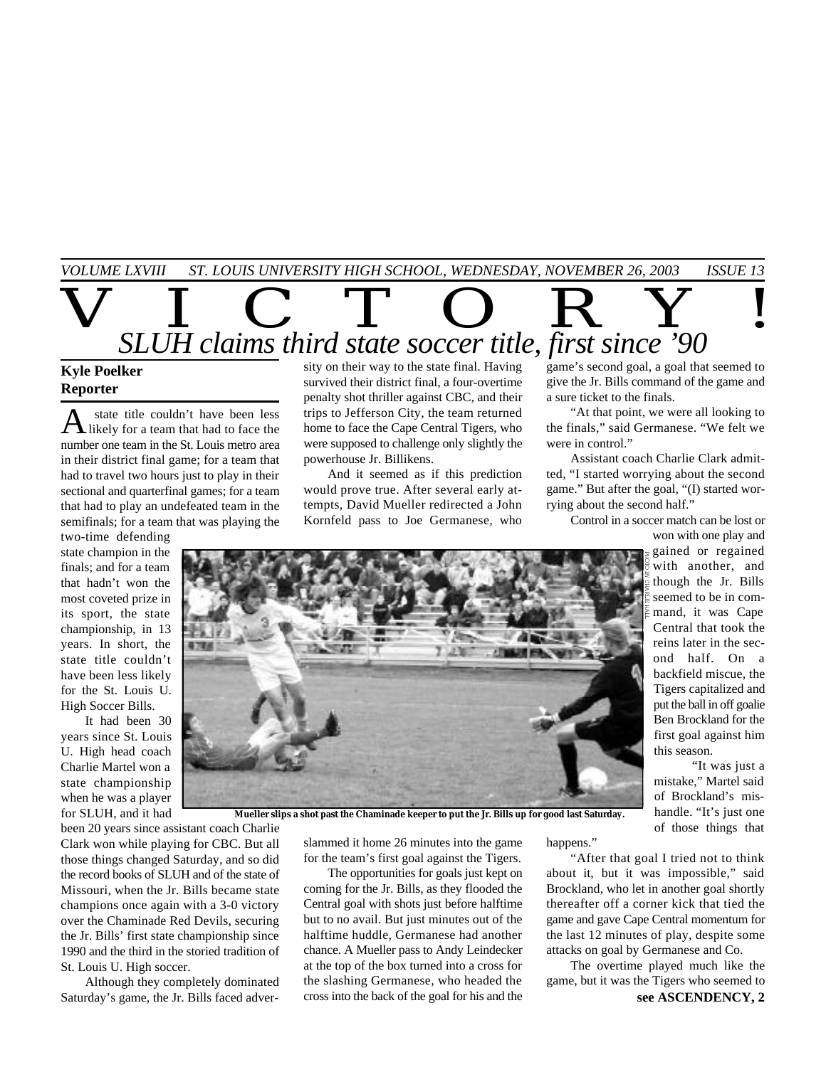*VOLUME LXVIII ST. LOUIS UNIVERSITY HIGH SCHOOL, WEDNESDAY, NOVEMBER 26, 2003 ISSUE 13*

 $\overline{V}$   $\overline{L}$   $\overline{C}$   $\overline{T}$   $\overline{O}$   $\overline{R}$   $\overline{Y}$  ! *SLUH claims third state soccer title, first since '90* **Kyle Poelker** sity on their way to the state final. Having

## **Reporter**

A state title couldn't have been less state title couldn't have been less number one team in the St. Louis metro area in their district final game; for a team that had to travel two hours just to play in their sectional and quarterfinal games; for a team that had to play an undefeated team in the semifinals; for a team that was playing the

two-time defending state champion in the finals; and for a team that hadn't won the most coveted prize in its sport, the state championship, in 13 years. In short, the state title couldn't have been less likely for the St. Louis U. High Soccer Bills.

It had been 30 years since St. Louis U. High head coach Charlie Martel won a state championship when he was a player for SLUH, and it had survived their district final, a four-overtime penalty shot thriller against CBC, and their trips to Jefferson City, the team returned home to face the Cape Central Tigers, who were supposed to challenge only slightly the powerhouse Jr. Billikens.

And it seemed as if this prediction would prove true. After several early attempts, David Mueller redirected a John Kornfeld pass to Joe Germanese, who

game's second goal, a goal that seemed to give the Jr. Bills command of the game and a sure ticket to the finals.

"At that point, we were all looking to the finals," said Germanese. "We felt we were in control."

Assistant coach Charlie Clark admitted, "I started worrying about the second game." But after the goal, "(I) started worrying about the second half."

Control in a soccer match can be lost or

won with one play and gained or regained with another, and though the Jr. Bills seemed to be in command, it was Cape Central that took the reins later in the second half. On a backfield miscue, the Tigers capitalized and put the ball in off goalie Ben Brockland for the first goal against him this season.

"It was just a mistake," Martel said of Brockland's mishandle. "It's just one of those things that

**Mueller slips a shot past the Chaminade keeper to put the Jr. Bills up for good last Saturday.**

been 20 years since assistant coach Charlie Clark won while playing for CBC. But all those things changed Saturday, and so did the record books of SLUH and of the state of Missouri, when the Jr. Bills became state champions once again with a 3-0 victory over the Chaminade Red Devils, securing the Jr. Bills' first state championship since 1990 and the third in the storied tradition of St. Louis U. High soccer.

Although they completely dominated Saturday's game, the Jr. Bills faced adverslammed it home 26 minutes into the game for the team's first goal against the Tigers.

The opportunities for goals just kept on coming for the Jr. Bills, as they flooded the Central goal with shots just before halftime but to no avail. But just minutes out of the halftime huddle, Germanese had another chance. A Mueller pass to Andy Leindecker at the top of the box turned into a cross for the slashing Germanese, who headed the cross into the back of the goal for his and the

happens."

"After that goal I tried not to think about it, but it was impossible," said Brockland, who let in another goal shortly thereafter off a corner kick that tied the game and gave Cape Central momentum for the last 12 minutes of play, despite some attacks on goal by Germanese and Co.

**see ASCENDENCY, 2** The overtime played much like the game, but it was the Tigers who seemed to